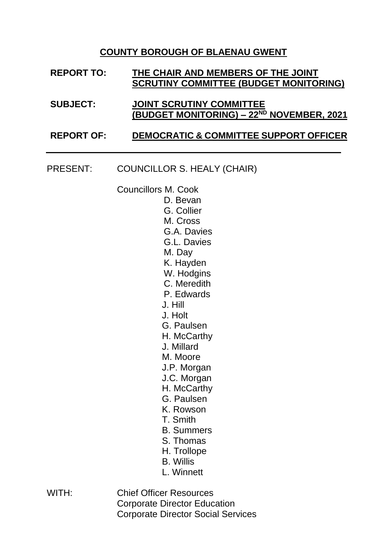## **COUNTY BOROUGH OF BLAENAU GWENT**

- **REPORT TO: THE CHAIR AND MEMBERS OF THE JOINT SCRUTINY COMMITTEE (BUDGET MONITORING) SUBJECT: JOINT SCRUTINY COMMITTEE (BUDGET MONITORING) – 22 ND NOVEMBER, 2021 REPORT OF: DEMOCRATIC & COMMITTEE SUPPORT OFFICER**
- PRESENT: COUNCILLOR S. HEALY (CHAIR)

Councillors M. Cook

- D. Bevan
- G. Collier
- M. Cross
- G.A. Davies
- G.L. Davies
- M. Day
- K. Hayden
- W. Hodgins
- C. Meredith
- P. Edwards
- J. Hill
- J. Holt
- G. Paulsen
- H. McCarthy
- J. Millard
- M. Moore
- J.P. Morgan
- J.C. Morgan
- H. McCarthy
- G. Paulsen
- K. Rowson
- T. Smith
- B. Summers
- S. Thomas
- H. Trollope
- B. Willis
- L. Winnett
- WITH: Chief Officer Resources Corporate Director Education Corporate Director Social Services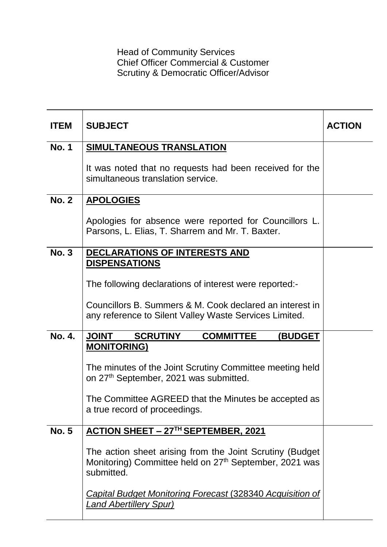Head of Community Services Chief Officer Commercial & Customer Scrutiny & Democratic Officer/Advisor

| <b>ITEM</b>   | <b>SUBJECT</b>                                                                                                                               | <b>ACTION</b> |
|---------------|----------------------------------------------------------------------------------------------------------------------------------------------|---------------|
| <b>No. 1</b>  | SIMULTANEOUS TRANSLATION                                                                                                                     |               |
|               | It was noted that no requests had been received for the<br>simultaneous translation service.                                                 |               |
| <b>No. 2</b>  | <b>APOLOGIES</b>                                                                                                                             |               |
|               | Apologies for absence were reported for Councillors L.<br>Parsons, L. Elias, T. Sharrem and Mr. T. Baxter.                                   |               |
| <b>No. 3</b>  | <b>DECLARATIONS OF INTERESTS AND</b>                                                                                                         |               |
|               | <b>DISPENSATIONS</b>                                                                                                                         |               |
|               | The following declarations of interest were reported:-                                                                                       |               |
|               | Councillors B. Summers & M. Cook declared an interest in<br>any reference to Silent Valley Waste Services Limited.                           |               |
|               |                                                                                                                                              |               |
| <b>No. 4.</b> | <b>JOINT SCRUTINY</b><br><b>COMMITTEE</b><br><b>(BUDGET)</b>                                                                                 |               |
|               | <b>MONITORING)</b>                                                                                                                           |               |
|               | The minutes of the Joint Scrutiny Committee meeting held<br>on 27 <sup>th</sup> September, 2021 was submitted.                               |               |
|               | The Committee AGREED that the Minutes be accepted as                                                                                         |               |
|               | a true record of proceedings.                                                                                                                |               |
| <b>No. 5</b>  | ACTION SHEET - 27TH SEPTEMBER, 2021                                                                                                          |               |
|               | The action sheet arising from the Joint Scrutiny (Budget<br>Monitoring) Committee held on 27 <sup>th</sup> September, 2021 was<br>submitted. |               |
|               | <b>Capital Budget Monitoring Forecast (328340 Acquisition of</b><br><b>Land Abertillery Spur)</b>                                            |               |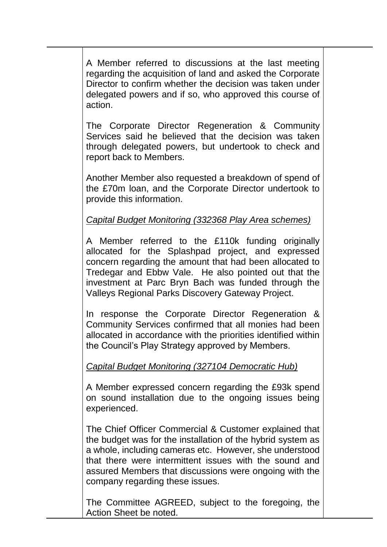A Member referred to discussions at the last meeting regarding the acquisition of land and asked the Corporate Director to confirm whether the decision was taken under delegated powers and if so, who approved this course of action.

The Corporate Director Regeneration & Community Services said he believed that the decision was taken through delegated powers, but undertook to check and report back to Members.

Another Member also requested a breakdown of spend of the £70m loan, and the Corporate Director undertook to provide this information.

## *Capital Budget Monitoring (332368 Play Area schemes)*

A Member referred to the £110k funding originally allocated for the Splashpad project, and expressed concern regarding the amount that had been allocated to Tredegar and Ebbw Vale. He also pointed out that the investment at Parc Bryn Bach was funded through the Valleys Regional Parks Discovery Gateway Project.

In response the Corporate Director Regeneration & Community Services confirmed that all monies had been allocated in accordance with the priorities identified within the Council's Play Strategy approved by Members.

## *Capital Budget Monitoring (327104 Democratic Hub)*

A Member expressed concern regarding the £93k spend on sound installation due to the ongoing issues being experienced.

The Chief Officer Commercial & Customer explained that the budget was for the installation of the hybrid system as a whole, including cameras etc. However, she understood that there were intermittent issues with the sound and assured Members that discussions were ongoing with the company regarding these issues.

The Committee AGREED, subject to the foregoing, the Action Sheet be noted.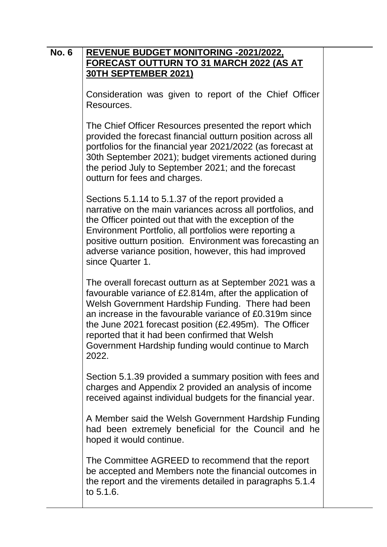| <b>No. 6</b> | <b>REVENUE BUDGET MONITORING -2021/2022,</b><br><b>FORECAST OUTTURN TO 31 MARCH 2022 (AS AT</b><br><b>30TH SEPTEMBER 2021)</b>                                                                                                                                                                                                                                                                                     |  |
|--------------|--------------------------------------------------------------------------------------------------------------------------------------------------------------------------------------------------------------------------------------------------------------------------------------------------------------------------------------------------------------------------------------------------------------------|--|
|              | Consideration was given to report of the Chief Officer<br>Resources.                                                                                                                                                                                                                                                                                                                                               |  |
|              | The Chief Officer Resources presented the report which<br>provided the forecast financial outturn position across all<br>portfolios for the financial year 2021/2022 (as forecast at<br>30th September 2021); budget virements actioned during<br>the period July to September 2021; and the forecast<br>outturn for fees and charges.                                                                             |  |
|              | Sections 5.1.14 to 5.1.37 of the report provided a<br>narrative on the main variances across all portfolios, and<br>the Officer pointed out that with the exception of the<br>Environment Portfolio, all portfolios were reporting a<br>positive outturn position. Environment was forecasting an<br>adverse variance position, however, this had improved<br>since Quarter 1.                                     |  |
|              | The overall forecast outturn as at September 2021 was a<br>favourable variance of £2.814m, after the application of<br>Welsh Government Hardship Funding. There had been<br>an increase in the favourable variance of £0.319m since<br>the June 2021 forecast position $(E2.495m)$ . The Officer<br>reported that it had been confirmed that Welsh<br>Government Hardship funding would continue to March<br>2022. |  |
|              | Section 5.1.39 provided a summary position with fees and<br>charges and Appendix 2 provided an analysis of income<br>received against individual budgets for the financial year.                                                                                                                                                                                                                                   |  |
|              | A Member said the Welsh Government Hardship Funding<br>had been extremely beneficial for the Council and he<br>hoped it would continue.                                                                                                                                                                                                                                                                            |  |
|              | The Committee AGREED to recommend that the report<br>be accepted and Members note the financial outcomes in<br>the report and the virements detailed in paragraphs 5.1.4<br>to 5.1.6.                                                                                                                                                                                                                              |  |
|              |                                                                                                                                                                                                                                                                                                                                                                                                                    |  |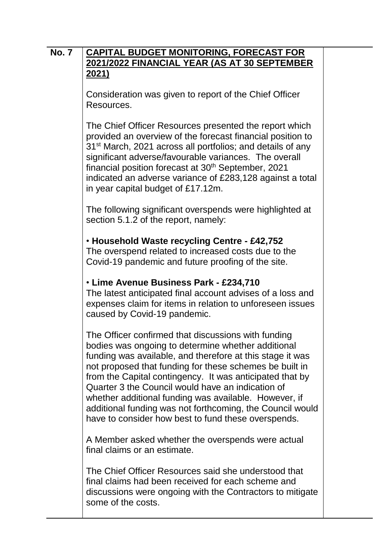| <b>No. 7</b> | <b>CAPITAL BUDGET MONITORING, FORECAST FOR</b>                                                                                                                                                                                                                                                                                                                                                                                                                                                                                  |  |
|--------------|---------------------------------------------------------------------------------------------------------------------------------------------------------------------------------------------------------------------------------------------------------------------------------------------------------------------------------------------------------------------------------------------------------------------------------------------------------------------------------------------------------------------------------|--|
|              | 2021/2022 FINANCIAL YEAR (AS AT 30 SEPTEMBER<br><u>2021)</u>                                                                                                                                                                                                                                                                                                                                                                                                                                                                    |  |
|              | Consideration was given to report of the Chief Officer<br>Resources.                                                                                                                                                                                                                                                                                                                                                                                                                                                            |  |
|              | The Chief Officer Resources presented the report which<br>provided an overview of the forecast financial position to<br>31 <sup>st</sup> March, 2021 across all portfolios; and details of any<br>significant adverse/favourable variances. The overall<br>financial position forecast at 30 <sup>th</sup> September, 2021<br>indicated an adverse variance of £283,128 against a total<br>in year capital budget of £17.12m.                                                                                                   |  |
|              | The following significant overspends were highlighted at<br>section 5.1.2 of the report, namely:                                                                                                                                                                                                                                                                                                                                                                                                                                |  |
|              | • Household Waste recycling Centre - £42,752<br>The overspend related to increased costs due to the<br>Covid-19 pandemic and future proofing of the site.                                                                                                                                                                                                                                                                                                                                                                       |  |
|              | • Lime Avenue Business Park - £234,710<br>The latest anticipated final account advises of a loss and<br>expenses claim for items in relation to unforeseen issues<br>caused by Covid-19 pandemic.                                                                                                                                                                                                                                                                                                                               |  |
|              | The Officer confirmed that discussions with funding<br>bodies was ongoing to determine whether additional<br>funding was available, and therefore at this stage it was<br>not proposed that funding for these schemes be built in<br>from the Capital contingency. It was anticipated that by<br>Quarter 3 the Council would have an indication of<br>whether additional funding was available. However, if<br>additional funding was not forthcoming, the Council would<br>have to consider how best to fund these overspends. |  |
|              | A Member asked whether the overspends were actual<br>final claims or an estimate.                                                                                                                                                                                                                                                                                                                                                                                                                                               |  |
|              | The Chief Officer Resources said she understood that<br>final claims had been received for each scheme and<br>discussions were ongoing with the Contractors to mitigate<br>some of the costs.                                                                                                                                                                                                                                                                                                                                   |  |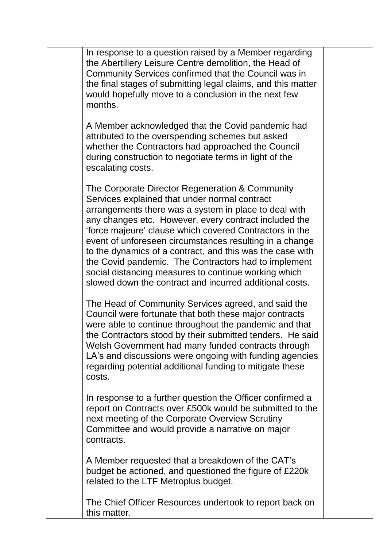In response to a question raised by a Member regarding the Abertillery Leisure Centre demolition, the Head of Community Services confirmed that the Council was in the final stages of submitting legal claims, and this matter would hopefully move to a conclusion in the next few months.

A Member acknowledged that the Covid pandemic had attributed to the overspending schemes but asked whether the Contractors had approached the Council during construction to negotiate terms in light of the escalating costs.

The Corporate Director Regeneration & Community Services explained that under normal contract arrangements there was a system in place to deal with any changes etc. However, every contract included the 'force majeure' clause which covered Contractors in the event of unforeseen circumstances resulting in a change to the dynamics of a contract, and this was the case with the Covid pandemic. The Contractors had to implement social distancing measures to continue working which slowed down the contract and incurred additional costs.

The Head of Community Services agreed, and said the Council were fortunate that both these major contracts were able to continue throughout the pandemic and that the Contractors stood by their submitted tenders. He said Welsh Government had many funded contracts through LA's and discussions were ongoing with funding agencies regarding potential additional funding to mitigate these costs.

In response to a further question the Officer confirmed a report on Contracts over £500k would be submitted to the next meeting of the Corporate Overview Scrutiny Committee and would provide a narrative on major contracts.

A Member requested that a breakdown of the CAT's budget be actioned, and questioned the figure of £220k related to the LTF Metroplus budget.

The Chief Officer Resources undertook to report back on this matter.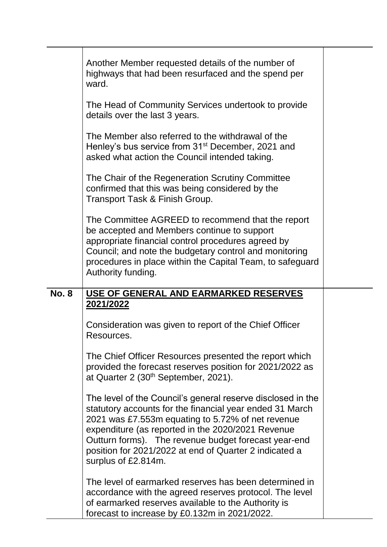|              | Another Member requested details of the number of<br>highways that had been resurfaced and the spend per<br>ward.                                                                                                                                                                                                                                                          |  |
|--------------|----------------------------------------------------------------------------------------------------------------------------------------------------------------------------------------------------------------------------------------------------------------------------------------------------------------------------------------------------------------------------|--|
|              | The Head of Community Services undertook to provide<br>details over the last 3 years.                                                                                                                                                                                                                                                                                      |  |
|              | The Member also referred to the withdrawal of the<br>Henley's bus service from 31 <sup>st</sup> December, 2021 and<br>asked what action the Council intended taking.                                                                                                                                                                                                       |  |
|              | The Chair of the Regeneration Scrutiny Committee<br>confirmed that this was being considered by the<br>Transport Task & Finish Group.                                                                                                                                                                                                                                      |  |
|              | The Committee AGREED to recommend that the report<br>be accepted and Members continue to support<br>appropriate financial control procedures agreed by<br>Council; and note the budgetary control and monitoring<br>procedures in place within the Capital Team, to safeguard<br>Authority funding.                                                                        |  |
| <b>No. 8</b> | USE OF GENERAL AND EARMARKED RESERVES                                                                                                                                                                                                                                                                                                                                      |  |
|              | 2021/2022                                                                                                                                                                                                                                                                                                                                                                  |  |
|              | Consideration was given to report of the Chief Officer<br>Resources.                                                                                                                                                                                                                                                                                                       |  |
|              | The Chief Officer Resources presented the report which<br>provided the forecast reserves position for 2021/2022 as<br>at Quarter 2 (30 <sup>th</sup> September, 2021).                                                                                                                                                                                                     |  |
|              | The level of the Council's general reserve disclosed in the<br>statutory accounts for the financial year ended 31 March<br>2021 was £7.553m equating to 5.72% of net revenue<br>expenditure (as reported in the 2020/2021 Revenue<br>Outturn forms). The revenue budget forecast year-end<br>position for 2021/2022 at end of Quarter 2 indicated a<br>surplus of £2.814m. |  |
|              | The level of earmarked reserves has been determined in<br>accordance with the agreed reserves protocol. The level<br>of earmarked reserves available to the Authority is<br>forecast to increase by £0.132m in 2021/2022.                                                                                                                                                  |  |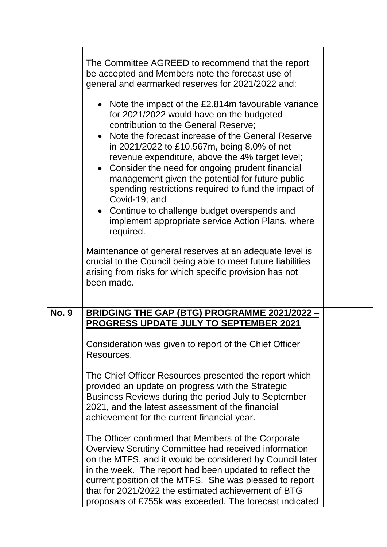|              | The Committee AGREED to recommend that the report<br>be accepted and Members note the forecast use of<br>general and earmarked reserves for 2021/2022 and:                                                                                                                                                                                                                                                                                                                                                                                                                                             |  |
|--------------|--------------------------------------------------------------------------------------------------------------------------------------------------------------------------------------------------------------------------------------------------------------------------------------------------------------------------------------------------------------------------------------------------------------------------------------------------------------------------------------------------------------------------------------------------------------------------------------------------------|--|
|              | • Note the impact of the £2.814m favourable variance<br>for 2021/2022 would have on the budgeted<br>contribution to the General Reserve;<br>• Note the forecast increase of the General Reserve<br>in 2021/2022 to £10.567m, being 8.0% of net<br>revenue expenditure, above the 4% target level;<br>• Consider the need for ongoing prudent financial<br>management given the potential for future public<br>spending restrictions required to fund the impact of<br>Covid-19; and<br>• Continue to challenge budget overspends and<br>implement appropriate service Action Plans, where<br>required. |  |
|              | Maintenance of general reserves at an adequate level is<br>crucial to the Council being able to meet future liabilities<br>arising from risks for which specific provision has not<br>been made.                                                                                                                                                                                                                                                                                                                                                                                                       |  |
| <b>No. 9</b> | <u>BRIDGING THE GAP (BTG) PROGRAMME 2021/2022 -</u>                                                                                                                                                                                                                                                                                                                                                                                                                                                                                                                                                    |  |
|              | <b>PROGRESS UPDATE JULY TO SEPTEMBER 2021</b>                                                                                                                                                                                                                                                                                                                                                                                                                                                                                                                                                          |  |
|              | Consideration was given to report of the Chief Officer<br>Resources.                                                                                                                                                                                                                                                                                                                                                                                                                                                                                                                                   |  |
|              | The Chief Officer Resources presented the report which<br>provided an update on progress with the Strategic<br>Business Reviews during the period July to September<br>2021, and the latest assessment of the financial<br>achievement for the current financial year.                                                                                                                                                                                                                                                                                                                                 |  |
|              | The Officer confirmed that Members of the Corporate<br>Overview Scrutiny Committee had received information<br>on the MTFS, and it would be considered by Council later<br>in the week. The report had been updated to reflect the<br>current position of the MTFS. She was pleased to report<br>that for 2021/2022 the estimated achievement of BTG<br>proposals of £755k was exceeded. The forecast indicated                                                                                                                                                                                        |  |